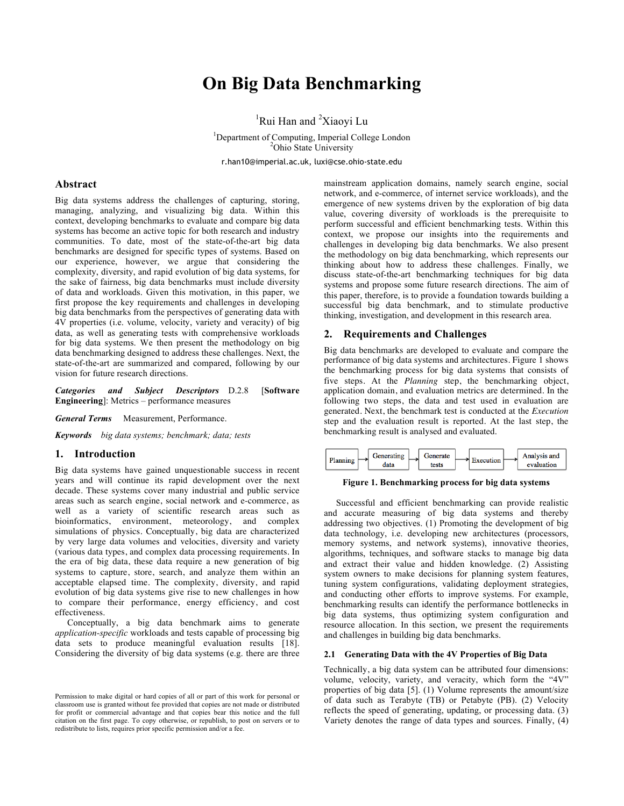# **On Big Data Benchmarking**

<sup>1</sup>Rui Han and <sup>2</sup>Xiaoyi Lu

<sup>1</sup>Department of Computing, Imperial College London  $\frac{2}{10}$ <sup>2</sup>Ohio State University

r.han10@imperial.ac.uk, luxi@cse.ohio-state.edu

# **Abstract**

Big data systems address the challenges of capturing, storing, managing, analyzing, and visualizing big data. Within this context, developing benchmarks to evaluate and compare big data systems has become an active topic for both research and industry communities. To date, most of the state-of-the-art big data benchmarks are designed for specific types of systems. Based on our experience, however, we argue that considering the complexity, diversity, and rapid evolution of big data systems, for the sake of fairness, big data benchmarks must include diversity of data and workloads. Given this motivation, in this paper, we first propose the key requirements and challenges in developing big data benchmarks from the perspectives of generating data with 4V properties (i.e. volume, velocity, variety and veracity) of big data, as well as generating tests with comprehensive workloads for big data systems. We then present the methodology on big data benchmarking designed to address these challenges. Next, the state-of-the-art are summarized and compared, following by our vision for future research directions.

*Categories and Subject Descriptors* D.2.8 [**Software Engineering**]: Metrics – performance measures

*General Terms* Measurement, Performance.

*Keywords big data systems; benchmark; data; tests*

# **1. Introduction**

Big data systems have gained unquestionable success in recent years and will continue its rapid development over the next decade. These systems cover many industrial and public service areas such as search engine, social network and e-commerce, as well as a variety of scientific research areas such as bioinformatics, environment, meteorology, and complex simulations of physics. Conceptually, big data are characterized by very large data volumes and velocities, diversity and variety (various data types, and complex data processing requirements. In the era of big data, these data require a new generation of big systems to capture, store, search, and analyze them within an acceptable elapsed time. The complexity, diversity, and rapid evolution of big data systems give rise to new challenges in how to compare their performance, energy efficiency, and cost effectiveness.

Conceptually, a big data benchmark aims to generate *application-specific* workloads and tests capable of processing big data sets to produce meaningful evaluation results [18]. Considering the diversity of big data systems (e.g. there are three

mainstream application domains, namely search engine, social network, and e-commerce, of internet service workloads), and the emergence of new systems driven by the exploration of big data value, covering diversity of workloads is the prerequisite to perform successful and efficient benchmarking tests. Within this context, we propose our insights into the requirements and challenges in developing big data benchmarks. We also present the methodology on big data benchmarking, which represents our thinking about how to address these challenges. Finally, we discuss state-of-the-art benchmarking techniques for big data systems and propose some future research directions. The aim of this paper, therefore, is to provide a foundation towards building a successful big data benchmark, and to stimulate productive thinking, investigation, and development in this research area.

## **2. Requirements and Challenges**

Big data benchmarks are developed to evaluate and compare the performance of big data systems and architectures. Figure 1 shows the benchmarking process for big data systems that consists of five steps. At the *Planning* step, the benchmarking object, application domain, and evaluation metrics are determined. In the following two steps, the data and test used in evaluation are generated. Next, the benchmark test is conducted at the *Execution* step and the evaluation result is reported. At the last step, the benchmarking result is analysed and evaluated.



**Figure 1. Benchmarking process for big data systems**

Successful and efficient benchmarking can provide realistic and accurate measuring of big data systems and thereby addressing two objectives. (1) Promoting the development of big data technology, i.e. developing new architectures (processors, memory systems, and network systems), innovative theories, algorithms, techniques, and software stacks to manage big data and extract their value and hidden knowledge. (2) Assisting system owners to make decisions for planning system features, tuning system configurations, validating deployment strategies, and conducting other efforts to improve systems. For example, benchmarking results can identify the performance bottlenecks in big data systems, thus optimizing system configuration and resource allocation. In this section, we present the requirements and challenges in building big data benchmarks.

# **2.1 Generating Data with the 4V Properties of Big Data**

Technically, a big data system can be attributed four dimensions: volume, velocity, variety, and veracity, which form the "4V" properties of big data [5]. (1) Volume represents the amount/size of data such as Terabyte (TB) or Petabyte (PB). (2) Velocity reflects the speed of generating, updating, or processing data. (3) Variety denotes the range of data types and sources. Finally, (4)

Permission to make digital or hard copies of all or part of this work for personal or classroom use is granted without fee provided that copies are not made or distributed for profit or commercial advantage and that copies bear this notice and the full citation on the first page. To copy otherwise, or republish, to post on servers or to redistribute to lists, requires prior specific permission and/or a fee.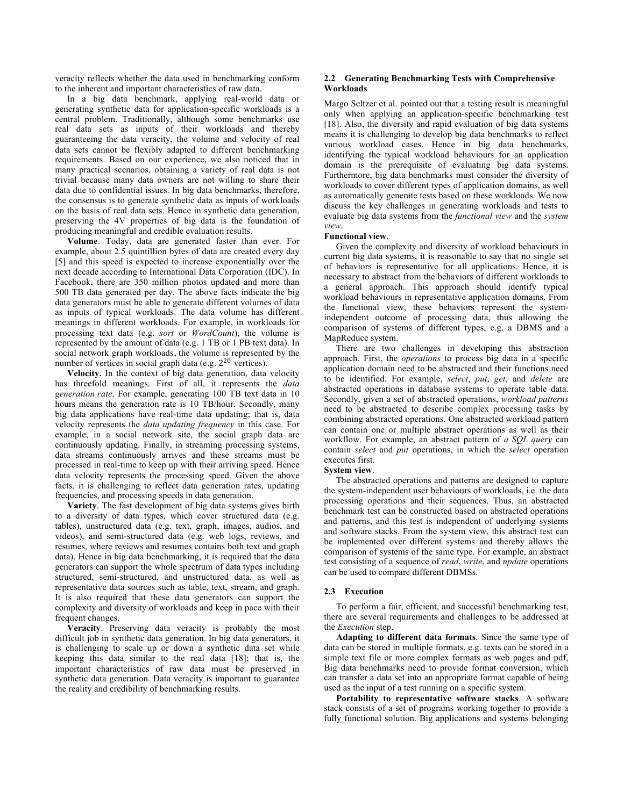veracity reflects whether the data used in benchmarking conform to the inherent and important characteristics of raw data.

In a big data benchmark, applying real-world data or generating synthetic data for application-specific workloads is a central problem. Traditionally, although some benchmarks use real data sets as inputs of their workloads and thereby guaranteeing the data veracity, the volume and velocity of real data sets cannot be flexibly adapted to different benchmarking requirements. Based on our experience, we also noticed that in many practical scenarios, obtaining a variety of real data is not trivial because many data owners are not willing to share their data due to confidential issues. In big data benchmarks, therefore, the consensus is to generate synthetic data as inputs of workloads on the basis of real data sets. Hence in synthetic data generation, preserving the 4V properties of big data is the foundation of producing meaningful and credible evaluation results.

**Volume**. Today, data are generated faster than ever. For example, about 2.5 quintillion bytes of data are created every day [5] and this speed is expected to increase exponentially over the next decade according to International Data Corporation (IDC). In Facebook, there are 350 million photos updated and more than 500 TB data generated per day. The above facts indicate the big data generators must be able to generate different volumes of data as inputs of typical workloads. The data volume has different meanings in different workloads. For example, in workloads for processing text data (e.g. *sort* or *WordCount*), the volume is represented by the amount of data (e.g. 1 TB or 1 PB text data). In social network graph workloads, the volume is represented by the number of vertices in social graph data (e.g.  $2^{20}$  vertices).

**Velocity.** In the context of big data generation, data velocity has threefold meanings. First of all, it represents the *data generation rate*. For example, generating 100 TB text data in 10 hours means the generation rate is 10 TB/hour. Secondly, many big data applications have real-time data updating; that is, data velocity represents the *data updating frequency* in this case. For example, in a social network site, the social graph data are continuously updating. Finally, in streaming processing systems, data streams continuously arrives and these streams must be processed in real-time to keep up with their arriving speed. Hence data velocity represents the processing speed. Given the above facts, it is challenging to reflect data generation rates, updating frequencies, and processing speeds in data generation.

**Variety**. The fast development of big data systems gives birth to a diversity of data types, which cover structured data (e.g. tables), unstructured data (e.g. text, graph, images, audios, and videos), and semi-structured data (e.g. web logs, reviews, and resumes, where reviews and resumes contains both text and graph data). Hence in big data benchmarking, it is required that the data generators can support the whole spectrum of data types including structured, semi-structured, and unstructured data, as well as representative data sources such as table, text, stream, and graph. It is also required that these data generators can support the complexity and diversity of workloads and keep in pace with their frequent changes.

**Veracity**. Preserving data veracity is probably the most difficult job in synthetic data generation. In big data generators, it is challenging to scale up or down a synthetic data set while keeping this data similar to the real data [18]; that is, the important characteristics of raw data must be preserved in synthetic data generation. Data veracity is important to guarantee the reality and credibility of benchmarking results.

## **2.2 Generating Benchmarking Tests with Comprehensive Workloads**

Margo Seltzer et al. pointed out that a testing result is meaningful only when applying an application-specific benchmarking test [18]. Also, the diversity and rapid evaluation of big data systems means it is challenging to develop big data benchmarks to reflect various workload cases. Hence in big data benchmarks, identifying the typical workload behaviours for an application domain is the prerequisite of evaluating big data systems. Furthermore, big data benchmarks must consider the diversity of workloads to cover different types of application domains, as well as automatically generate tests based on these workloads. We now discuss the key challenges in generating workloads and tests to evaluate big data systems from the *functional view* and the *system view*.

#### **Functional view**.

Given the complexity and diversity of workload behaviours in current big data systems, it is reasonable to say that no single set of behaviors is representative for all applications. Hence, it is necessary to abstract from the behaviors of different workloads to a general approach. This approach should identify typical workload behaviours in representative application domains. From the functional view, these behaviors represent the systemindependent outcome of processing data, thus allowing the comparison of systems of different types, e.g. a DBMS and a MapReduce system.

There are two challenges in developing this abstraction approach. First, the *operations* to process big data in a specific application domain need to be abstracted and their functions need to be identified. For example, *select*, *put*, *get*, and *delete* are abstracted operations in database systems to operate table data. Secondly, given a set of abstracted operations, *workload patterns* need to be abstracted to describe complex processing tasks by combining abstracted operations. One abstracted workload pattern can contain one or multiple abstract operations as well as their workflow. For example, an abstract pattern of *a SQL query* can contain *select* and *put* operations, in which the *select* operation executes first.

## **System view**.

The abstracted operations and patterns are designed to capture the system-independent user behaviours of workloads, i.e. the data processing operations and their sequences. Thus, an abstracted benchmark test can be constructed based on abstracted operations and patterns, and this test is independent of underlying systems and software stacks. From the system view, this abstract test can be implemented over different systems and thereby allows the comparison of systems of the same type. For example, an abstract test consisting of a sequence of *read*, *write*, and *update* operations can be used to compare different DBMSs.

#### **2.3 Execution**

To perform a fair, efficient, and successful benchmarking test, there are several requirements and challenges to be addressed at the *Execution* step.

**Adapting to different data formats**. Since the same type of data can be stored in multiple formats, e.g. texts can be stored in a simple text file or more complex formats as web pages and pdf, Big data benchmarks need to provide format conversion, which can transfer a data set into an appropriate format capable of being used as the input of a test running on a specific system.

**Portability to representative software stacks**. A software stack consists of a set of programs working together to provide a fully functional solution. Big applications and systems belonging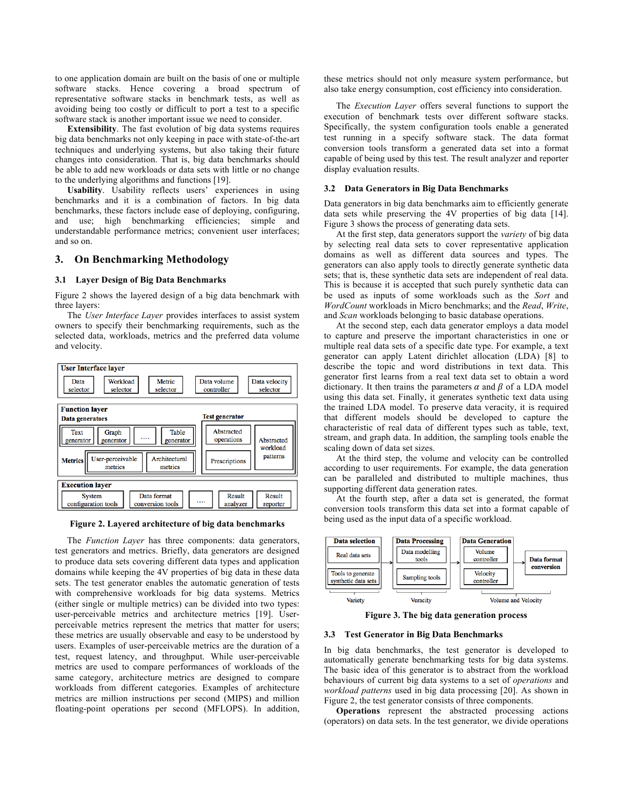to one application domain are built on the basis of one or multiple software stacks. Hence covering a broad spectrum of representative software stacks in benchmark tests, as well as avoiding being too costly or difficult to port a test to a specific software stack is another important issue we need to consider.

**Extensibility**. The fast evolution of big data systems requires big data benchmarks not only keeping in pace with state-of-the-art techniques and underlying systems, but also taking their future changes into consideration. That is, big data benchmarks should be able to add new workloads or data sets with little or no change to the underlying algorithms and functions [19].

**Usability**. Usability reflects users' experiences in using benchmarks and it is a combination of factors. In big data benchmarks, these factors include ease of deploying, configuring, and use; high benchmarking efficiencies; simple and understandable performance metrics; convenient user interfaces; and so on.

# **3. On Benchmarking Methodology**

## **3.1 Layer Design of Big Data Benchmarks**

Figure 2 shows the layered design of a big data benchmark with three layers:

The *User Interface Layer* provides interfaces to assist system owners to specify their benchmarking requirements, such as the selected data, workloads, metrics and the preferred data volume and velocity.



**Figure 2. Layered architecture of big data benchmarks**

The *Function Layer* has three components: data generators, test generators and metrics. Briefly, data generators are designed to produce data sets covering different data types and application domains while keeping the 4V properties of big data in these data sets. The test generator enables the automatic generation of tests with comprehensive workloads for big data systems. Metrics (either single or multiple metrics) can be divided into two types: user-perceivable metrics and architecture metrics [19]. Userperceivable metrics represent the metrics that matter for users; these metrics are usually observable and easy to be understood by users. Examples of user-perceivable metrics are the duration of a test, request latency, and throughput. While user-perceivable metrics are used to compare performances of workloads of the same category, architecture metrics are designed to compare workloads from different categories. Examples of architecture metrics are million instructions per second (MIPS) and million floating-point operations per second (MFLOPS). In addition,

these metrics should not only measure system performance, but also take energy consumption, cost efficiency into consideration.

The *Execution Layer* offers several functions to support the execution of benchmark tests over different software stacks. Specifically, the system configuration tools enable a generated test running in a specify software stack. The data format conversion tools transform a generated data set into a format capable of being used by this test. The result analyzer and reporter display evaluation results.

## **3.2 Data Generators in Big Data Benchmarks**

Data generators in big data benchmarks aim to efficiently generate data sets while preserving the 4V properties of big data [14]. Figure 3 shows the process of generating data sets.

At the first step, data generators support the *variety* of big data by selecting real data sets to cover representative application domains as well as different data sources and types. The generators can also apply tools to directly generate synthetic data sets; that is, these synthetic data sets are independent of real data. This is because it is accepted that such purely synthetic data can be used as inputs of some workloads such as the *Sort* and *WordCount* workloads in Micro benchmarks; and the *Read*, *Write*, and *Scan* workloads belonging to basic database operations.

At the second step, each data generator employs a data model to capture and preserve the important characteristics in one or multiple real data sets of a specific date type. For example, a text generator can apply Latent dirichlet allocation (LDA) [8] to describe the topic and word distributions in text data. This generator first learns from a real text data set to obtain a word dictionary. It then trains the parameters  $\alpha$  and  $\beta$  of a LDA model using this data set. Finally, it generates synthetic text data using the trained LDA model. To preserve data veracity, it is required that different models should be developed to capture the characteristic of real data of different types such as table, text, stream, and graph data. In addition, the sampling tools enable the scaling down of data set sizes.

At the third step, the volume and velocity can be controlled according to user requirements. For example, the data generation can be paralleled and distributed to multiple machines, thus supporting different data generation rates.

At the fourth step, after a data set is generated, the format conversion tools transform this data set into a format capable of being used as the input data of a specific workload.



**Figure 3. The big data generation process** 

#### **3.3 Test Generator in Big Data Benchmarks**

In big data benchmarks, the test generator is developed to automatically generate benchmarking tests for big data systems. The basic idea of this generator is to abstract from the workload behaviours of current big data systems to a set of *operations* and *workload patterns* used in big data processing [20]. As shown in Figure 2, the test generator consists of three components.

**Operations** represent the abstracted processing actions (operators) on data sets. In the test generator, we divide operations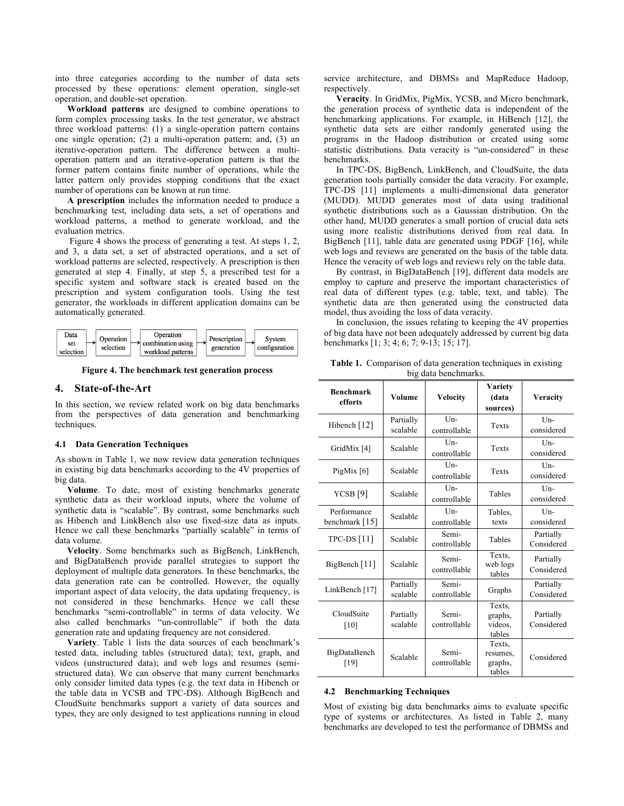into three categories according to the number of data sets processed by these operations: element operation, single-set operation, and double-set operation.

**Workload patterns** are designed to combine operations to form complex processing tasks. In the test generator, we abstract three workload patterns: (1) a single-operation pattern contains one single operation; (2) a multi-operation pattern; and, (3) an iterative-operation pattern. The difference between a multioperation pattern and an iterative-operation pattern is that the former pattern contains finite number of operations, while the latter pattern only provides stopping conditions that the exact number of operations can be known at run time.

**A prescription** includes the information needed to produce a benchmarking test, including data sets, a set of operations and workload patterns, a method to generate workload, and the evaluation metrics.

Figure 4 shows the process of generating a test. At steps 1, 2, and 3, a data set, a set of abstracted operations, and a set of workload patterns are selected, respectively. A prescription is then generated at step 4. Finally, at step 5, a prescribed test for a specific system and software stack is created based on the prescription and system configuration tools. Using the test generator, the workloads in different application domains can be automatically generated.



**Figure 4. The benchmark test generation process** 

# **4. State-of-the-Art**

In this section, we review related work on big data benchmarks from the perspectives of data generation and benchmarking techniques.

#### **4.1 Data Generation Techniques**

As shown in Table 1, we now review data generation techniques in existing big data benchmarks according to the 4V properties of big data.

**Volume**. To date, most of existing benchmarks generate synthetic data as their workload inputs, where the volume of synthetic data is "scalable". By contrast, some benchmarks such as Hibench and LinkBench also use fixed-size data as inputs. Hence we call these benchmarks "partially scalable" in terms of data volume.

**Velocity**. Some benchmarks such as BigBench, LinkBench, and BigDataBench provide parallel strategies to support the deployment of multiple data generators. In these benchmarks, the data generation rate can be controlled. However, the equally important aspect of data velocity, the data updating frequency, is not considered in these benchmarks. Hence we call these benchmarks "semi-controllable" in terms of data velocity. We also called benchmarks "un-controllable" if both the data generation rate and updating frequency are not considered.

**Variety**. Table 1 lists the data sources of each benchmark's tested data, including tables (structured data); text, graph, and videos (unstructured data); and web logs and resumes (semistructured data). We can observe that many current benchmarks only consider limited data types (e.g. the text data in Hibench or the table data in YCSB and TPC-DS). Although BigBench and CloudSuite benchmarks support a variety of data sources and types, they are only designed to test applications running in cloud

service architecture, and DBMSs and MapReduce Hadoop, respectively.

**Veracity**. In GridMix, PigMix, YCSB, and Micro benchmark, the generation process of synthetic data is independent of the benchmarking applications. For example, in HiBench [12], the synthetic data sets are either randomly generated using the programs in the Hadoop distribution or created using some statistic distributions. Data veracity is "un-considered" in these benchmarks.

In TPC-DS, BigBench, LinkBench, and CloudSuite, the data generation tools partially consider the data veracity. For example, TPC-DS [11] implements a multi-dimensional data generator (MUDD). MUDD generates most of data using traditional synthetic distributions such as a Gaussian distribution. On the other hand, MUDD generates a small portion of crucial data sets using more realistic distributions derived from real data. In BigBench [11], table data are generated using PDGF [16], while web logs and reviews are generated on the basis of the table data. Hence the veracity of web logs and reviews rely on the table data.

By contrast, in BigDataBench [19], different data models are employ to capture and preserve the important characteristics of real data of different types (e.g. table, text, and table). The synthetic data are then generated using the constructed data model, thus avoiding the loss of data veracity.

In conclusion, the issues relating to keeping the 4V properties of big data have not been adequately addressed by current big data benchmarks [1; 3; 4; 6; 7; 9-13; 15; 17].

|                      | Table 1. Comparison of data generation techniques in existing |  |  |  |  |
|----------------------|---------------------------------------------------------------|--|--|--|--|
| big data benchmarks. |                                                               |  |  |  |  |

| <b>Benchmark</b><br>efforts   | Volume                | <b>Velocity</b>       | <b>Variety</b><br>(data<br>sources)     | <b>Veracity</b>         |
|-------------------------------|-----------------------|-----------------------|-----------------------------------------|-------------------------|
| Hibench $[12]$                | Partially<br>scalable | $Um-$<br>controllable | Texts                                   | $Um-$<br>considered     |
| GridMix [4]                   | Scalable              | $Um-$<br>controllable | <b>Texts</b>                            | $Um-$<br>considered     |
| PigMix [6]                    | Scalable              | $Um-$<br>controllable | Texts                                   | $Um-$<br>considered     |
| <b>YCSB</b> [9]               | Scalable              | $Um-$<br>controllable | Tables                                  | Un-<br>considered       |
| Performance<br>benchmark [15] | Scalable              | $Um-$<br>controllable | Tables,<br>texts                        | $Um-$<br>considered     |
| TPC-DS $[11]$                 | Scalable              | Semi-<br>controllable | Tables                                  | Partially<br>Considered |
| BigBench $[11]$               | Scalable              | Semi-<br>controllable | Texts,<br>web logs<br>tables            | Partially<br>Considered |
| LinkBench [17]                | Partially<br>scalable | Semi-<br>controllable | Graphs                                  | Partially<br>Considered |
| CloudSuite<br>[10]            | Partially<br>scalable | Semi-<br>controllable | Texts.<br>graphs,<br>videos.<br>tables  | Partially<br>Considered |
| BigDataBench<br>[19]          | Scalable              | Semi-<br>controllable | Texts.<br>resumes,<br>graphs,<br>tables | Considered              |

## **4.2 Benchmarking Techniques**

Most of existing big data benchmarks aims to evaluate specific type of systems or architectures. As listed in Table 2, many benchmarks are developed to test the performance of DBMSs and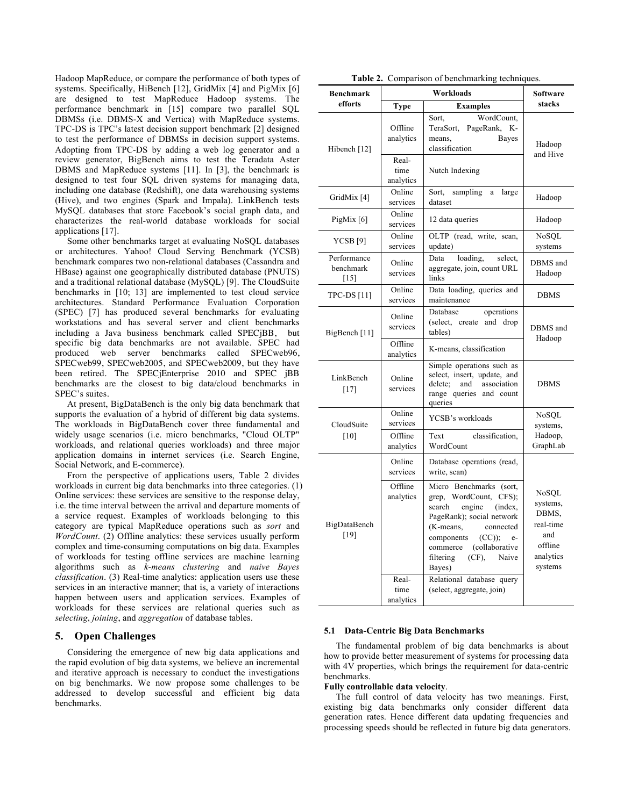Hadoop MapReduce, or compare the performance of both types of systems. Specifically, HiBench [12], GridMix [4] and PigMix [6] are designed to test MapReduce Hadoop systems. The performance benchmark in [15] compare two parallel SQL DBMSs (i.e. DBMS-X and Vertica) with MapReduce systems. TPC-DS is TPC's latest decision support benchmark [2] designed to test the performance of DBMSs in decision support systems. Adopting from TPC-DS by adding a web log generator and a review generator, BigBench aims to test the Teradata Aster DBMS and MapReduce systems [11]. In [3], the benchmark is designed to test four SQL driven systems for managing data, including one database (Redshift), one data warehousing systems (Hive), and two engines (Spark and Impala). LinkBench tests MySQL databases that store Facebook's social graph data, and characterizes the real-world database workloads for social applications [17].

Some other benchmarks target at evaluating NoSQL databases or architectures. Yahoo! Cloud Serving Benchmark (YCSB) benchmark compares two non-relational databases (Cassandra and HBase) against one geographically distributed database (PNUTS) and a traditional relational database (MySQL) [9]. The CloudSuite benchmarks in [10; 13] are implemented to test cloud service architectures. Standard Performance Evaluation Corporation (SPEC) [7] has produced several benchmarks for evaluating workstations and has several server and client benchmarks including a Java business benchmark called SPECjBB, but specific big data benchmarks are not available. SPEC had produced web server benchmarks called SPECweb96, SPECweb99, SPECweb2005, and SPECweb2009, but they have been retired. The SPECjEnterprise 2010 and SPEC jBB benchmarks are the closest to big data/cloud benchmarks in SPEC's suites.

At present, BigDataBench is the only big data benchmark that supports the evaluation of a hybrid of different big data systems. The workloads in BigDataBench cover three fundamental and widely usage scenarios (i.e. micro benchmarks, "Cloud OLTP" workloads, and relational queries workloads) and three major application domains in internet services (i.e. Search Engine, Social Network, and E-commerce).

From the perspective of applications users, Table 2 divides workloads in current big data benchmarks into three categories. (1) Online services: these services are sensitive to the response delay, i.e. the time interval between the arrival and departure moments of a service request. Examples of workloads belonging to this category are typical MapReduce operations such as *sort* and *WordCount*. (2) Offline analytics: these services usually perform complex and time-consuming computations on big data. Examples of workloads for testing offline services are machine learning algorithms such as *k-means clustering* and *naive Bayes classification*. (3) Real-time analytics: application users use these services in an interactive manner; that is, a variety of interactions happen between users and application services. Examples of workloads for these services are relational queries such as *selecting*, *joining*, and *aggregation* of database tables.

# **5. Open Challenges**

Considering the emergence of new big data applications and the rapid evolution of big data systems, we believe an incremental and iterative approach is necessary to conduct the investigations on big benchmarks. We now propose some challenges to be addressed to develop successful and efficient big data benchmarks.

|  | <b>Table 2.</b> Comparison of benchmarking techniques. |  |
|--|--------------------------------------------------------|--|
|  |                                                        |  |

| <b>Benchmark</b><br>efforts        |                                       | Software<br>stacks                                                                                                                                                                                                                                                                                             |                                                                                   |  |
|------------------------------------|---------------------------------------|----------------------------------------------------------------------------------------------------------------------------------------------------------------------------------------------------------------------------------------------------------------------------------------------------------------|-----------------------------------------------------------------------------------|--|
|                                    | Type                                  | <b>Examples</b>                                                                                                                                                                                                                                                                                                |                                                                                   |  |
| Hibench [12]                       | Offline<br>analytics                  | WordCount,<br>Sort.<br>TeraSort, PageRank,<br>K-<br>means,<br>Bayes<br>classification                                                                                                                                                                                                                          | Hadoop<br>and Hive                                                                |  |
|                                    | Real-<br>time<br>analytics            | Nutch Indexing                                                                                                                                                                                                                                                                                                 |                                                                                   |  |
| GridMix [4]                        | Online<br>services                    | Sort.<br>sampling<br>large<br>a<br>dataset                                                                                                                                                                                                                                                                     | Hadoop                                                                            |  |
| PigMix $[6]$                       | Online<br>services                    | 12 data queries                                                                                                                                                                                                                                                                                                | Hadoop                                                                            |  |
| <b>YCSB</b> [9]                    | Online<br>services                    | OLTP (read, write, scan,<br>update)                                                                                                                                                                                                                                                                            | <b>NoSOL</b><br>systems                                                           |  |
| Performance<br>benchmark<br>$[15]$ | Online<br>services                    | Data<br>loading.<br>select.<br>aggregate, join, count URL<br>links                                                                                                                                                                                                                                             | DBMS and<br>Hadoop                                                                |  |
| <b>TPC-DS</b> [11]                 | Online<br>services                    | Data loading, queries and<br>maintenance                                                                                                                                                                                                                                                                       | <b>DBMS</b>                                                                       |  |
| BigBench [11]                      | Online<br>services                    | Database<br>operations<br>(select, create and drop<br>tables)                                                                                                                                                                                                                                                  | DBMS and<br>Hadoop                                                                |  |
|                                    | Offline<br>analytics                  | K-means, classification                                                                                                                                                                                                                                                                                        |                                                                                   |  |
| LinkBench<br>[17]                  | Online<br>services                    | Simple operations such as<br>select, insert, update, and<br>and<br>association<br>delete:<br>range queries and count<br>queries                                                                                                                                                                                | <b>DBMS</b>                                                                       |  |
| CloudSuite                         | Online<br>services                    | YCSB's workloads                                                                                                                                                                                                                                                                                               | NoSQL<br>systems,                                                                 |  |
| [10]                               | Offline<br>analytics                  | Text<br>classification,<br>WordCount                                                                                                                                                                                                                                                                           | Hadoop,<br>GraphLab                                                               |  |
|                                    | Online<br>services                    | Database operations (read,<br>write, scan)                                                                                                                                                                                                                                                                     |                                                                                   |  |
| BigDataBench<br>[19]               | Offline<br>analytics<br>Real-<br>time | Micro Benchmarks (sort,<br>grep, WordCount, CFS);<br>search<br>engine<br>(index,<br>PageRank); social network<br>(K-means,<br>connected<br>$(CC))$ ;<br>components<br>$e-$<br>(collaborative<br>commerce<br>filtering<br>$(CF)$ ,<br>Naive<br>Bayes)<br>Relational database query<br>(select, aggregate, join) | NoSQL<br>systems,<br>DBMS.<br>real-time<br>and<br>offline<br>analytics<br>systems |  |
|                                    | analytics                             |                                                                                                                                                                                                                                                                                                                |                                                                                   |  |

#### **5.1 Data-Centric Big Data Benchmarks**

The fundamental problem of big data benchmarks is about how to provide better measurement of systems for processing data with 4V properties, which brings the requirement for data-centric benchmarks.

#### **Fully controllable data velocity**.

The full control of data velocity has two meanings. First, existing big data benchmarks only consider different data generation rates. Hence different data updating frequencies and processing speeds should be reflected in future big data generators.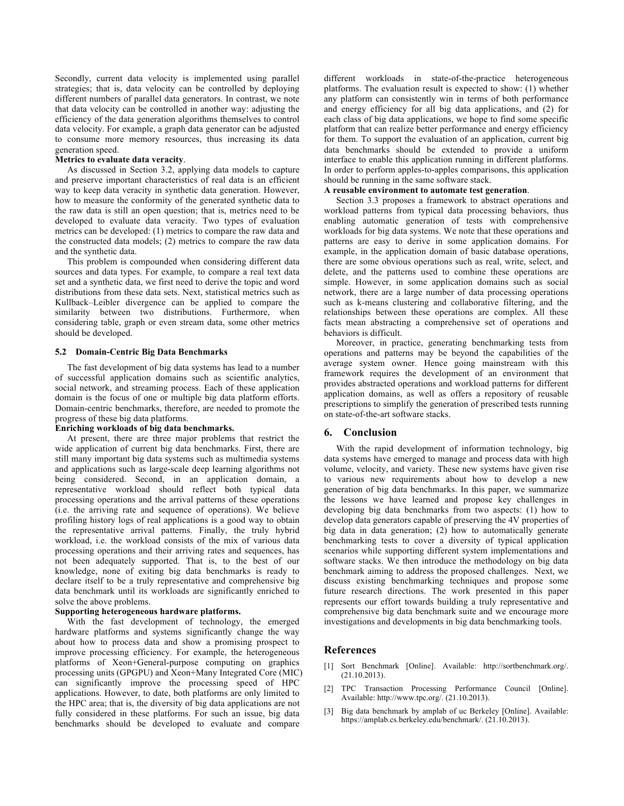Secondly, current data velocity is implemented using parallel strategies; that is, data velocity can be controlled by deploying different numbers of parallel data generators. In contrast, we note that data velocity can be controlled in another way: adjusting the efficiency of the data generation algorithms themselves to control data velocity. For example, a graph data generator can be adjusted to consume more memory resources, thus increasing its data generation speed.

# **Metrics to evaluate data veracity**.

As discussed in Section 3.2, applying data models to capture and preserve important characteristics of real data is an efficient way to keep data veracity in synthetic data generation. However, how to measure the conformity of the generated synthetic data to the raw data is still an open question; that is, metrics need to be developed to evaluate data veracity. Two types of evaluation metrics can be developed: (1) metrics to compare the raw data and the constructed data models; (2) metrics to compare the raw data and the synthetic data.

This problem is compounded when considering different data sources and data types. For example, to compare a real text data set and a synthetic data, we first need to derive the topic and word distributions from these data sets. Next, statistical metrics such as Kullback–Leibler divergence can be applied to compare the similarity between two distributions. Furthermore, when considering table, graph or even stream data, some other metrics should be developed.

## **5.2 Domain-Centric Big Data Benchmarks**

The fast development of big data systems has lead to a number of successful application domains such as scientific analytics, social network, and streaming process. Each of these application domain is the focus of one or multiple big data platform efforts. Domain-centric benchmarks, therefore, are needed to promote the progress of these big data platforms.

## **Enriching workloads of big data benchmarks.**

At present, there are three major problems that restrict the wide application of current big data benchmarks. First, there are still many important big data systems such as multimedia systems and applications such as large-scale deep learning algorithms not being considered. Second, in an application domain, a representative workload should reflect both typical data processing operations and the arrival patterns of these operations (i.e. the arriving rate and sequence of operations). We believe profiling history logs of real applications is a good way to obtain the representative arrival patterns. Finally, the truly hybrid workload, i.e. the workload consists of the mix of various data processing operations and their arriving rates and sequences, has not been adequately supported. That is, to the best of our knowledge, none of exiting big data benchmarks is ready to declare itself to be a truly representative and comprehensive big data benchmark until its workloads are significantly enriched to solve the above problems.

## **Supporting heterogeneous hardware platforms.**

With the fast development of technology, the emerged hardware platforms and systems significantly change the way about how to process data and show a promising prospect to improve processing efficiency. For example, the heterogeneous platforms of Xeon+General-purpose computing on graphics processing units (GPGPU) and Xeon+Many Integrated Core (MIC) can significantly improve the processing speed of HPC applications. However, to date, both platforms are only limited to the HPC area; that is, the diversity of big data applications are not fully considered in these platforms. For such an issue, big data benchmarks should be developed to evaluate and compare

different workloads in state-of-the-practice heterogeneous platforms. The evaluation result is expected to show: (1) whether any platform can consistently win in terms of both performance and energy efficiency for all big data applications, and (2) for each class of big data applications, we hope to find some specific platform that can realize better performance and energy efficiency for them. To support the evaluation of an application, current big data benchmarks should be extended to provide a uniform interface to enable this application running in different platforms. In order to perform apples-to-apples comparisons, this application should be running in the same software stack.

#### **A reusable environment to automate test generation**.

Section 3.3 proposes a framework to abstract operations and workload patterns from typical data processing behaviors, thus enabling automatic generation of tests with comprehensive workloads for big data systems. We note that these operations and patterns are easy to derive in some application domains. For example, in the application domain of basic database operations, there are some obvious operations such as real, write, select, and delete, and the patterns used to combine these operations are simple. However, in some application domains such as social network, there are a large number of data processing operations such as k-means clustering and collaborative filtering, and the relationships between these operations are complex. All these facts mean abstracting a comprehensive set of operations and behaviors is difficult.

Moreover, in practice, generating benchmarking tests from operations and patterns may be beyond the capabilities of the average system owner. Hence going mainstream with this framework requires the development of an environment that provides abstracted operations and workload patterns for different application domains, as well as offers a repository of reusable prescriptions to simplify the generation of prescribed tests running on state-of-the-art software stacks.

# **6. Conclusion**

With the rapid development of information technology, big data systems have emerged to manage and process data with high volume, velocity, and variety. These new systems have given rise to various new requirements about how to develop a new generation of big data benchmarks. In this paper, we summarize the lessons we have learned and propose key challenges in developing big data benchmarks from two aspects: (1) how to develop data generators capable of preserving the 4V properties of big data in data generation; (2) how to automatically generate benchmarking tests to cover a diversity of typical application scenarios while supporting different system implementations and software stacks. We then introduce the methodology on big data benchmark aiming to address the proposed challenges. Next, we discuss existing benchmarking techniques and propose some future research directions. The work presented in this paper represents our effort towards building a truly representative and comprehensive big data benchmark suite and we encourage more investigations and developments in big data benchmarking tools.

# **References**

- [1] Sort Benchmark [Online]. Available: http://sortbenchmark.org/. (21.10.2013).
- [2] TPC Transaction Processing Performance Council [Online]. Available: http://www.tpc.org/. (21.10.2013).
- [3] Big data benchmark by amplab of uc Berkeley [Online]. Available: https://amplab.cs.berkeley.edu/benchmark/. (21.10.2013).